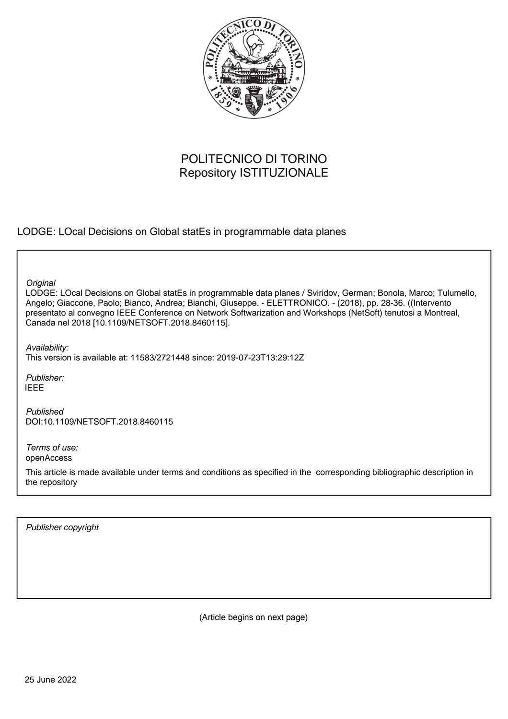

# POLITECNICO DI TORINO Repository ISTITUZIONALE

LODGE: LOcal Decisions on Global statEs in programmable data planes

**Original** 

LODGE: LOcal Decisions on Global statEs in programmable data planes / Sviridov, German; Bonola, Marco; Tulumello, Angelo; Giaccone, Paolo; Bianco, Andrea; Bianchi, Giuseppe. - ELETTRONICO. - (2018), pp. 28-36. ((Intervento presentato al convegno IEEE Conference on Network Softwarization and Workshops (NetSoft) tenutosi a Montreal, Canada nel 2018 [10.1109/NETSOFT.2018.8460115].

Availability:

This version is available at: 11583/2721448 since: 2019-07-23T13:29:12Z

Publisher: IEEE

Published DOI:10.1109/NETSOFT.2018.8460115

Terms of use: openAccess

This article is made available under terms and conditions as specified in the corresponding bibliographic description in the repository

Publisher copyright

(Article begins on next page)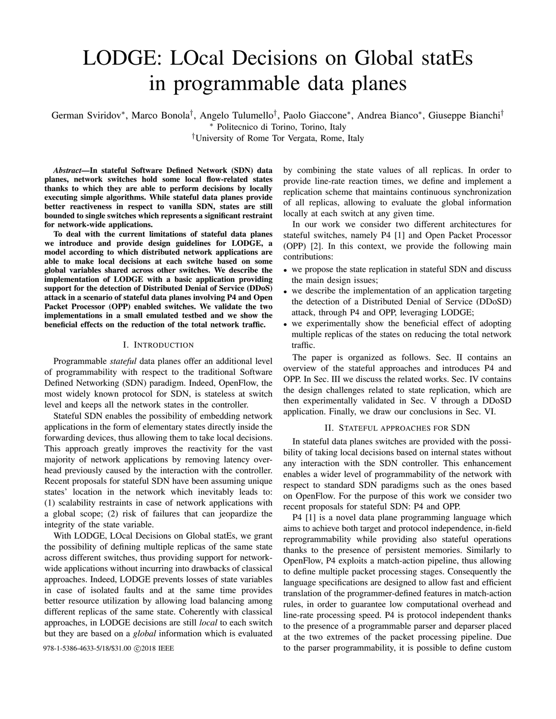# LODGE: LOcal Decisions on Global statEs in programmable data planes

German Sviridov\*, Marco Bonola<sup>†</sup>, Angelo Tulumello<sup>†</sup>, Paolo Giaccone\*, Andrea Bianco\*, Giuseppe Bianchi<sup>†</sup> <sup>∗</sup> Politecnico di Torino, Torino, Italy

†University of Rome Tor Vergata, Rome, Italy

*Abstract*—In stateful Software Defined Network (SDN) data planes, network switches hold some local flow-related states thanks to which they are able to perform decisions by locally executing simple algorithms. While stateful data planes provide better reactiveness in respect to vanilla SDN, states are still bounded to single switches which represents a significant restraint for network-wide applications.

To deal with the current limitations of stateful data planes we introduce and provide design guidelines for LODGE, a model according to which distributed network applications are able to make local decisions at each switche based on some global variables shared across other switches. We describe the implementation of LODGE with a basic application providing support for the detection of Distributed Denial of Service (DDoS) attack in a scenario of stateful data planes involving P4 and Open Packet Processor (OPP) enabled switches. We validate the two implementations in a small emulated testbed and we show the beneficial effects on the reduction of the total network traffic.

## I. INTRODUCTION

Programmable *stateful* data planes offer an additional level of programmability with respect to the traditional Software Defined Networking (SDN) paradigm. Indeed, OpenFlow, the most widely known protocol for SDN, is stateless at switch level and keeps all the network states in the controller.

Stateful SDN enables the possibility of embedding network applications in the form of elementary states directly inside the forwarding devices, thus allowing them to take local decisions. This approach greatly improves the reactivity for the vast majority of network applications by removing latency overhead previously caused by the interaction with the controller. Recent proposals for stateful SDN have been assuming unique states' location in the network which inevitably leads to: (1) scalability restraints in case of network applications with a global scope; (2) risk of failures that can jeopardize the integrity of the state variable.

With LODGE, LOcal Decisions on Global statEs, we grant the possibility of defining multiple replicas of the same state across different switches, thus providing support for networkwide applications without incurring into drawbacks of classical approaches. Indeed, LODGE prevents losses of state variables in case of isolated faults and at the same time provides better resource utilization by allowing load balancing among different replicas of the same state. Coherently with classical approaches, in LODGE decisions are still *local* to each switch but they are based on a *global* information which is evaluated

by combining the state values of all replicas. In order to provide line-rate reaction times, we define and implement a replication scheme that maintains continuous synchronization of all replicas, allowing to evaluate the global information locally at each switch at any given time.

In our work we consider two different architectures for stateful switches, namely P4 [1] and Open Packet Processor (OPP) [2]. In this context, we provide the following main contributions:

- we propose the state replication in stateful SDN and discuss the main design issues;
- we describe the implementation of an application targeting the detection of a Distributed Denial of Service (DDoSD) attack, through P4 and OPP, leveraging LODGE;
- we experimentally show the beneficial effect of adopting multiple replicas of the states on reducing the total network traffic.

The paper is organized as follows. Sec. II contains an overview of the stateful approaches and introduces P4 and OPP. In Sec. III we discuss the related works. Sec. IV contains the design challenges related to state replication, which are then experimentally validated in Sec. V through a DDoSD application. Finally, we draw our conclusions in Sec. VI.

#### II. STATEFUL APPROACHES FOR SDN

In stateful data planes switches are provided with the possibility of taking local decisions based on internal states without any interaction with the SDN controller. This enhancement enables a wider level of programmability of the network with respect to standard SDN paradigms such as the ones based on OpenFlow. For the purpose of this work we consider two recent proposals for stateful SDN: P4 and OPP.

P4 [1] is a novel data plane programming language which aims to achieve both target and protocol independence, in-field reprogrammability while providing also stateful operations thanks to the presence of persistent memories. Similarly to OpenFlow, P4 exploits a match-action pipeline, thus allowing to define multiple packet processing stages. Consequently the language specifications are designed to allow fast and efficient translation of the programmer-defined features in match-action rules, in order to guarantee low computational overhead and line-rate processing speed. P4 is protocol independent thanks to the presence of a programmable parser and deparser placed at the two extremes of the packet processing pipeline. Due 978-1-5386-4633-5/18/\$31.00 © 2018 IEEE to the parser programmability, it is possible to define custom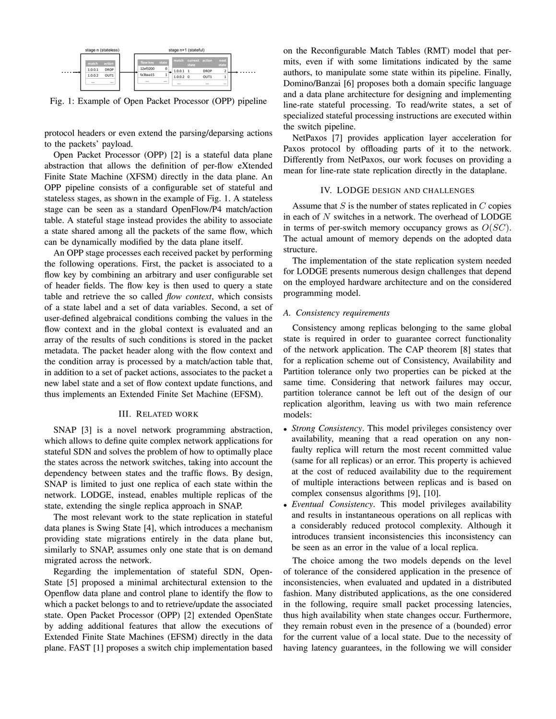

Fig. 1: Example of Open Packet Processor (OPP) pipeline

protocol headers or even extend the parsing/deparsing actions to the packets' payload.

Open Packet Processor (OPP) [2] is a stateful data plane abstraction that allows the definition of per-flow eXtended Finite State Machine (XFSM) directly in the data plane. An OPP pipeline consists of a configurable set of stateful and stateless stages, as shown in the example of Fig. 1. A stateless stage can be seen as a standard OpenFlow/P4 match/action table. A stateful stage instead provides the ability to associate a state shared among all the packets of the same flow, which can be dynamically modified by the data plane itself.

An OPP stage processes each received packet by performing the following operations. First, the packet is associated to a flow key by combining an arbitrary and user configurable set of header fields. The flow key is then used to query a state table and retrieve the so called *flow context*, which consists of a state label and a set of data variables. Second, a set of user-defined algebraical conditions combing the values in the flow context and in the global context is evaluated and an array of the results of such conditions is stored in the packet metadata. The packet header along with the flow context and the condition array is processed by a match/action table that, in addition to a set of packet actions, associates to the packet a new label state and a set of flow context update functions, and thus implements an Extended Finite Set Machine (EFSM).

## III. RELATED WORK

SNAP [3] is a novel network programming abstraction, which allows to define quite complex network applications for stateful SDN and solves the problem of how to optimally place the states across the network switches, taking into account the dependency between states and the traffic flows. By design, SNAP is limited to just one replica of each state within the network. LODGE, instead, enables multiple replicas of the state, extending the single replica approach in SNAP.

The most relevant work to the state replication in stateful data planes is Swing State [4], which introduces a mechanism providing state migrations entirely in the data plane but, similarly to SNAP, assumes only one state that is on demand migrated across the network.

Regarding the implementation of stateful SDN, Open-State [5] proposed a minimal architectural extension to the Openflow data plane and control plane to identify the flow to which a packet belongs to and to retrieve/update the associated state. Open Packet Processor (OPP) [2] extended OpenState by adding additional features that allow the executions of Extended Finite State Machines (EFSM) directly in the data plane. FAST [1] proposes a switch chip implementation based on the Reconfigurable Match Tables (RMT) model that permits, even if with some limitations indicated by the same authors, to manipulate some state within its pipeline. Finally, Domino/Banzai [6] proposes both a domain specific language and a data plane architecture for designing and implementing line-rate stateful processing. To read/write states, a set of specialized stateful processing instructions are executed within the switch pipeline.

NetPaxos [7] provides application layer acceleration for Paxos protocol by offloading parts of it to the network. Differently from NetPaxos, our work focuses on providing a mean for line-rate state replication directly in the dataplane.

#### IV. LODGE DESIGN AND CHALLENGES

Assume that  $S$  is the number of states replicated in  $C$  copies in each of  $N$  switches in a network. The overhead of LODGE in terms of per-switch memory occupancy grows as  $O(SC)$ . The actual amount of memory depends on the adopted data structure.

The implementation of the state replication system needed for LODGE presents numerous design challenges that depend on the employed hardware architecture and on the considered programming model.

## *A. Consistency requirements*

Consistency among replicas belonging to the same global state is required in order to guarantee correct functionality of the network application. The CAP theorem [8] states that for a replication scheme out of Consistency, Availability and Partition tolerance only two properties can be picked at the same time. Considering that network failures may occur, partition tolerance cannot be left out of the design of our replication algorithm, leaving us with two main reference models:

- *Strong Consistency*. This model privileges consistency over availability, meaning that a read operation on any nonfaulty replica will return the most recent committed value (same for all replicas) or an error. This property is achieved at the cost of reduced availability due to the requirement of multiple interactions between replicas and is based on complex consensus algorithms [9], [10].
- *Eventual Consistency*. This model privileges availability and results in instantaneous operations on all replicas with a considerably reduced protocol complexity. Although it introduces transient inconsistencies this inconsistency can be seen as an error in the value of a local replica.

The choice among the two models depends on the level of tolerance of the considered application in the presence of inconsistencies, when evaluated and updated in a distributed fashion. Many distributed applications, as the one considered in the following, require small packet processing latencies, thus high availability when state changes occur. Furthermore, they remain robust even in the presence of a (bounded) error for the current value of a local state. Due to the necessity of having latency guarantees, in the following we will consider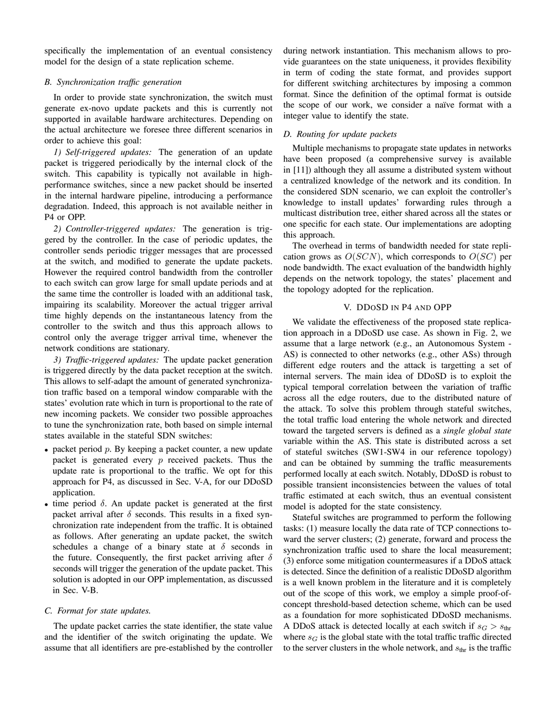specifically the implementation of an eventual consistency model for the design of a state replication scheme.

# *B. Synchronization traffic generation*

In order to provide state synchronization, the switch must generate ex-novo update packets and this is currently not supported in available hardware architectures. Depending on the actual architecture we foresee three different scenarios in order to achieve this goal:

*1) Self-triggered updates:* The generation of an update packet is triggered periodically by the internal clock of the switch. This capability is typically not available in highperformance switches, since a new packet should be inserted in the internal hardware pipeline, introducing a performance degradation. Indeed, this approach is not available neither in P4 or OPP.

*2) Controller-triggered updates:* The generation is triggered by the controller. In the case of periodic updates, the controller sends periodic trigger messages that are processed at the switch, and modified to generate the update packets. However the required control bandwidth from the controller to each switch can grow large for small update periods and at the same time the controller is loaded with an additional task, impairing its scalability. Moreover the actual trigger arrival time highly depends on the instantaneous latency from the controller to the switch and thus this approach allows to control only the average trigger arrival time, whenever the network conditions are stationary.

*3) Traffic-triggered updates:* The update packet generation is triggered directly by the data packet reception at the switch. This allows to self-adapt the amount of generated synchronization traffic based on a temporal window comparable with the states' evolution rate which in turn is proportional to the rate of new incoming packets. We consider two possible approaches to tune the synchronization rate, both based on simple internal states available in the stateful SDN switches:

- packet period  $p$ . By keeping a packet counter, a new update packet is generated every  $p$  received packets. Thus the update rate is proportional to the traffic. We opt for this approach for P4, as discussed in Sec. V-A, for our DDoSD application.
- time period  $\delta$ . An update packet is generated at the first packet arrival after  $\delta$  seconds. This results in a fixed synchronization rate independent from the traffic. It is obtained as follows. After generating an update packet, the switch schedules a change of a binary state at  $\delta$  seconds in the future. Consequently, the first packet arriving after  $\delta$ seconds will trigger the generation of the update packet. This solution is adopted in our OPP implementation, as discussed in Sec. V-B.

# *C. Format for state updates.*

The update packet carries the state identifier, the state value and the identifier of the switch originating the update. We assume that all identifiers are pre-established by the controller during network instantiation. This mechanism allows to provide guarantees on the state uniqueness, it provides flexibility in term of coding the state format, and provides support for different switching architectures by imposing a common format. Since the definition of the optimal format is outside the scope of our work, we consider a naïve format with a integer value to identify the state.

# *D. Routing for update packets*

Multiple mechanisms to propagate state updates in networks have been proposed (a comprehensive survey is available in [11]) although they all assume a distributed system without a centralized knowledge of the network and its condition. In the considered SDN scenario, we can exploit the controller's knowledge to install updates' forwarding rules through a multicast distribution tree, either shared across all the states or one specific for each state. Our implementations are adopting this approach.

The overhead in terms of bandwidth needed for state replication grows as  $O(SCN)$ , which corresponds to  $O(SC)$  per node bandwidth. The exact evaluation of the bandwidth highly depends on the network topology, the states' placement and the topology adopted for the replication.

## V. DDOSD IN P4 AND OPP

We validate the effectiveness of the proposed state replication approach in a DDoSD use case. As shown in Fig. 2, we assume that a large network (e.g., an Autonomous System - AS) is connected to other networks (e.g., other ASs) through different edge routers and the attack is targetting a set of internal servers. The main idea of DDoSD is to exploit the typical temporal correlation between the variation of traffic across all the edge routers, due to the distributed nature of the attack. To solve this problem through stateful switches, the total traffic load entering the whole network and directed toward the targeted servers is defined as a *single global state* variable within the AS. This state is distributed across a set of stateful switches (SW1-SW4 in our reference topology) and can be obtained by summing the traffic measurements performed locally at each switch. Notably, DDoSD is robust to possible transient inconsistencies between the values of total traffic estimated at each switch, thus an eventual consistent model is adopted for the state consistency.

Stateful switches are programmed to perform the following tasks: (1) measure locally the data rate of TCP connections toward the server clusters; (2) generate, forward and process the synchronization traffic used to share the local measurement; (3) enforce some mitigation countermeasures if a DDoS attack is detected. Since the definition of a realistic DDoSD algorithm is a well known problem in the literature and it is completely out of the scope of this work, we employ a simple proof-ofconcept threshold-based detection scheme, which can be used as a foundation for more sophisticated DDoSD mechanisms. A DDoS attack is detected locally at each switch if  $s_G > s_{thr}$ where  $s_G$  is the global state with the total traffic traffic directed to the server clusters in the whole network, and  $s_{thr}$  is the traffic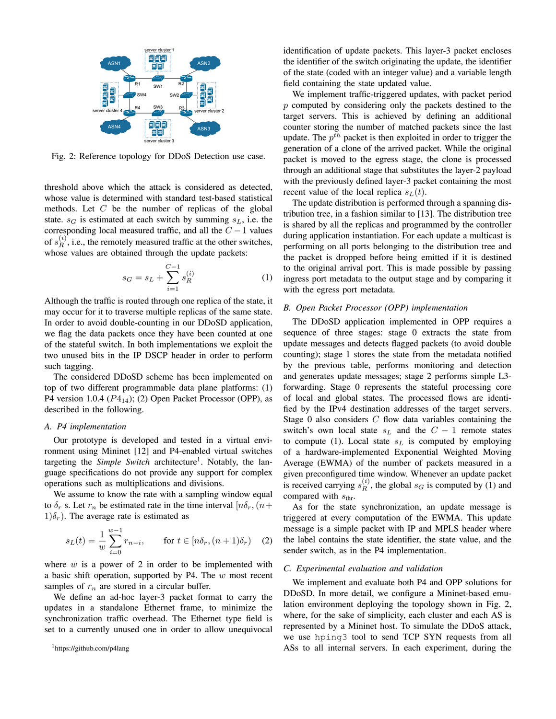

Fig. 2: Reference topology for DDoS Detection use case.

threshold above which the attack is considered as detected, whose value is determined with standard test-based statistical methods. Let  $C$  be the number of replicas of the global state.  $s_G$  is estimated at each switch by summing  $s_L$ , i.e. the corresponding local measured traffic, and all the  $C - 1$  values of  $s_R^{(i)}$ , i.e., the remotely measured traffic at the other switches, whose values are obtained through the update packets:

$$
s_G = s_L + \sum_{i=1}^{C-1} s_R^{(i)} \tag{1}
$$

Although the traffic is routed through one replica of the state, it may occur for it to traverse multiple replicas of the same state. In order to avoid double-counting in our DDoSD application, we flag the data packets once they have been counted at one of the stateful switch. In both implementations we exploit the two unused bits in the IP DSCP header in order to perform such tagging.

The considered DDoSD scheme has been implemented on top of two different programmable data plane platforms: (1) P4 version 1.0.4  $(P4_{14})$ ; (2) Open Packet Processor (OPP), as described in the following.

#### *A. P4 implementation*

Our prototype is developed and tested in a virtual environment using Mininet [12] and P4-enabled virtual switches targeting the *Simple Switch* architecture<sup>1</sup>. Notably, the language specifications do not provide any support for complex operations such as multiplications and divisions.

We assume to know the rate with a sampling window equal to  $\delta_r$  s. Let  $r_n$  be estimated rate in the time interval  $[n\delta_r,(n+1)]$  $1)\delta_r$ ). The average rate is estimated as

$$
s_L(t) = \frac{1}{w} \sum_{i=0}^{w-1} r_{n-i}, \qquad \text{for } t \in [n\delta_r, (n+1)\delta_r) \quad (2)
$$

where  $w$  is a power of 2 in order to be implemented with a basic shift operation, supported by P4. The  $w$  most recent samples of  $r_n$  are stored in a circular buffer.

We define an ad-hoc layer-3 packet format to carry the updates in a standalone Ethernet frame, to minimize the synchronization traffic overhead. The Ethernet type field is set to a currently unused one in order to allow unequivocal identification of update packets. This layer-3 packet encloses the identifier of the switch originating the update, the identifier of the state (coded with an integer value) and a variable length field containing the state updated value.

We implement traffic-triggered updates, with packet period p computed by considering only the packets destined to the target servers. This is achieved by defining an additional counter storing the number of matched packets since the last update. The  $p^{th}$  packet is then exploited in order to trigger the generation of a clone of the arrived packet. While the original packet is moved to the egress stage, the clone is processed through an additional stage that substitutes the layer-2 payload with the previously defined layer-3 packet containing the most recent value of the local replica  $s_L(t)$ .

The update distribution is performed through a spanning distribution tree, in a fashion similar to [13]. The distribution tree is shared by all the replicas and programmed by the controller during application instantiation. For each update a multicast is performing on all ports belonging to the distribution tree and the packet is dropped before being emitted if it is destined to the original arrival port. This is made possible by passing ingress port metadata to the output stage and by comparing it with the egress port metadata.

#### *B. Open Packet Processor (OPP) implementation*

The DDoSD application implemented in OPP requires a sequence of three stages: stage 0 extracts the state from update messages and detects flagged packets (to avoid double counting); stage 1 stores the state from the metadata notified by the previous table, performs monitoring and detection and generates update messages; stage 2 performs simple L3 forwarding. Stage 0 represents the stateful processing core of local and global states. The processed flows are identified by the IPv4 destination addresses of the target servers. Stage  $0$  also considers  $C$  flow data variables containing the switch's own local state  $s<sub>L</sub>$  and the  $C - 1$  remote states to compute (1). Local state  $s_L$  is computed by employing of a hardware-implemented Exponential Weighted Moving Average (EWMA) of the number of packets measured in a given preconfigured time window. Whenever an update packet is received carrying  $s_R^{(i)}$ , the global  $s_G$  is computed by (1) and compared with  $s_{thr}$ .

As for the state synchronization, an update message is triggered at every computation of the EWMA. This update message is a simple packet with IP and MPLS header where the label contains the state identifier, the state value, and the sender switch, as in the P4 implementation.

#### *C. Experimental evaluation and validation*

We implement and evaluate both P4 and OPP solutions for DDoSD. In more detail, we configure a Mininet-based emulation environment deploying the topology shown in Fig. 2, where, for the sake of simplicity, each cluster and each AS is represented by a Mininet host. To simulate the DDoS attack, we use hping3 tool to send TCP SYN requests from all ASs to all internal servers. In each experiment, during the